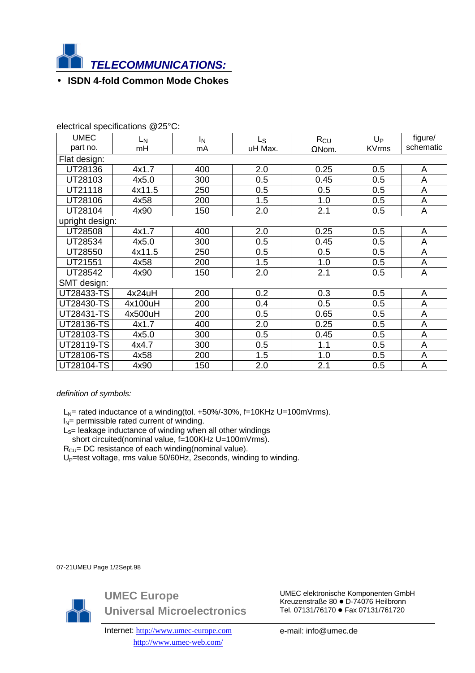

## • **ISDN 4-fold Common Mode Chokes**

| <b>UMEC</b>       | L <sub>N</sub> | I <sub>N</sub> | Ls      | $R_{CU}$      | $U_{P}$      | figure/     |
|-------------------|----------------|----------------|---------|---------------|--------------|-------------|
| part no.          | mH             | mA             | uH Max. | $\Omega$ Nom. | <b>KVrms</b> | schematic   |
| Flat design:      |                |                |         |               |              |             |
| UT28136           | 4x1.7          | 400            | 2.0     | 0.25          | 0.5          | A           |
| UT28103           | 4x5.0          | 300            | 0.5     | 0.45          | 0.5          | A           |
| UT21118           | 4x11.5         | 250            | 0.5     | 0.5           | 0.5          | A           |
| UT28106           | 4x58           | 200            | 1.5     | 1.0           | 0.5          | $\mathsf A$ |
| UT28104           | 4x90           | 150            | 2.0     | 2.1           | 0.5          | A           |
| upright design:   |                |                |         |               |              |             |
| UT28508           | 4x1.7          | 400            | 2.0     | 0.25          | 0.5          | A           |
| UT28534           | 4x5.0          | 300            | 0.5     | 0.45          | 0.5          | A           |
| UT28550           | 4x11.5         | 250            | 0.5     | 0.5           | 0.5          | A           |
| UT21551           | 4x58           | 200            | 1.5     | 1.0           | 0.5          | A           |
| UT28542           | 4x90           | 150            | 2.0     | 2.1           | 0.5          | A           |
| SMT design:       |                |                |         |               |              |             |
| UT28433-TS        | 4x24uH         | 200            | 0.2     | 0.3           | 0.5          | A           |
| <b>UT28430-TS</b> | 4x100uH        | 200            | 0.4     | 0.5           | 0.5          | A           |
| UT28431-TS        | 4x500uH        | 200            | 0.5     | 0.65          | 0.5          | A           |
| UT28136-TS        | 4x1.7          | 400            | 2.0     | 0.25          | 0.5          | $\mathsf A$ |
| UT28103-TS        | 4x5.0          | 300            | 0.5     | 0.45          | 0.5          | $\mathsf A$ |
| <b>UT28119-TS</b> | 4x4.7          | 300            | 0.5     | 1.1           | 0.5          | A           |
| <b>UT28106-TS</b> | 4x58           | 200            | 1.5     | 1.0           | 0.5          | A           |
| <b>UT28104-TS</b> | 4x90           | 150            | 2.0     | 2.1           | 0.5          | A           |

electrical specifications @25°C:

## *definition of symbols:*

 $L_N$ = rated inductance of a winding(tol. +50%/-30%, f=10KHz U=100mVrms).

 $I_N$ = permissible rated current of winding.

 $L<sub>S</sub>=$  leakage inductance of winding when all other windings

short circuited(nominal value, f=100KHz U=100mVrms).

 $R_{CU}$ = DC resistance of each winding(nominal value).

U<sub>P</sub>=test voltage, rms value 50/60Hz, 2seconds, winding to winding.

07-21UMEU Page 1/2Sept.98



**UMEC Europe Universal Microelectronics**

Internet: http://www.umec-europe.com http://www.umec-web.com/

UMEC elektronische Komponenten GmbH Kreuzenstraße 80 $\bullet$  D-74076 Heilbronn Tel. 07131/76170 · Fax 07131/761720

e-mail: info@umec.de